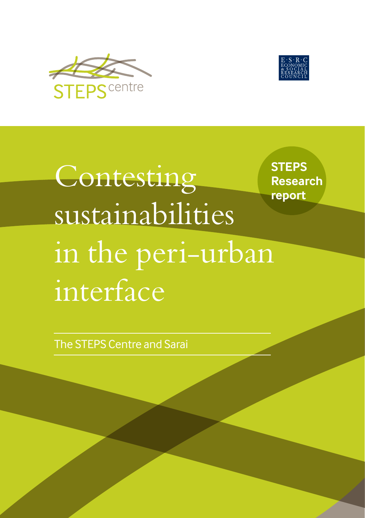



**Contesting** sustainabilities in the peri-urban interface

**STEPS Research report**

The STEPS Centre and Sarai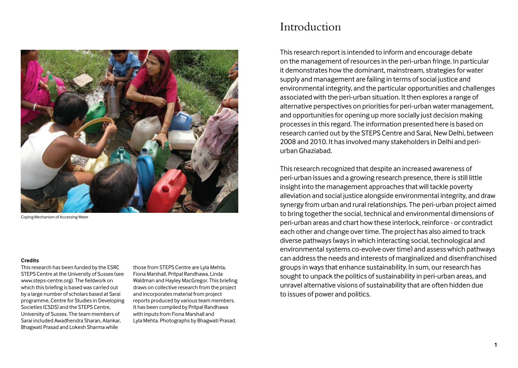

Coping Mechanism of Accessing Water

#### **Credits**

This research has been funded by the ESRC STEPS Centre at the University of Sussex (see www.steps-centre.org). The fieldwork on which this briefing is based was carried out by a large number of scholars based at Sarai programme, Centre for Studies in Developing Societies (CSDS) and the STEPS Centre, University of Sussex. The team members of Sarai included Awadhendra Sharan, Alankar, Bhagwati Prasad and Lokesh Sharma while

those from STEPS Centre are Lyla Mehta, Fiona Marshall, Pritpal Randhawa, Linda Waldman and Hayley MacGregor. This briefing draws on collective research from the project and incorporates material from project reports produced by various team members. It has been compiled by Pritpal Randhawa with inputs from Fiona Marshall and Lyla Mehta. Photographs by Bhagwati Prasad.

# Introduction

This research report is intended to inform and encourage debate on the management of resources in the peri-urban fringe. In particular it demonstrates how the dominant, mainstream, strategies for water supply and management are failing in terms of social justice and environmental integrity, and the particular opportunities and challenges associated with the peri-urban situation. It then explores a range of alternative perspectives on priorities for peri-urban water management, and opportunities for opening up more socially just decision making processes in this regard. The information presented here is based on research carried out by the STEPS Centre and Sarai, New Delhi, between 2008 and 2010. It has involved many stakeholders in Delhi and periurban Ghaziabad.

This research recognized that despite an increased awareness of peri-urban issues and a growing research presence, there is still little insight into the management approaches that will tackle poverty alleviation and social justice alongside environmental integrity, and draw synergy from urban and rural relationships. The peri-urban project aimed to bring together the social, technical and environmental dimensions of peri-urban areas and chart how these interlock, reinforce - or contradict each other and change over time. The project has also aimed to track diverse pathways (ways in which interacting social, technological and environmental systems co-evolve over time) and assess which pathways can address the needs and interests of marginalized and disenfranchised groups in ways that enhance sustainability. In sum, our research has sought to unpack the politics of sustainability in peri-urban areas, and unravel alternative visions of sustainability that are often hidden due to issues of power and politics.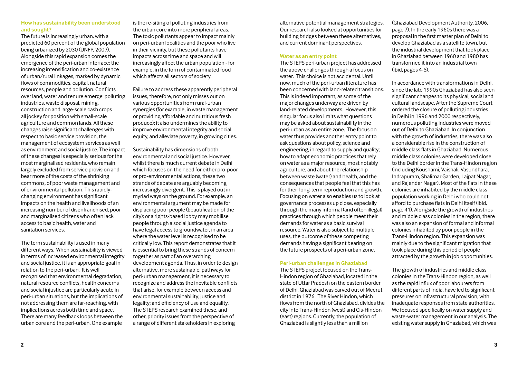#### **How has sustainability been understood and sought?**

The future is increasingly urban, with a predicted 60 percent of the global population being urbanized by 2030 (UNFP, 2007). Alongside this rapid expansion comes the emergence of the peri-urban interface: the increasing intensification and co-existence of urban/rural linkages, marked by dynamic flows of commodities, capital, natural resources, people and pollution. Conflicts over land, water and tenure emerge: polluting industries, waste disposal, mining, construction and large-scale cash crops all jockey for position with small-scale agriculture and common lands. All these changes raise significant challenges with respect to basic service provision, the management of ecosystem services as well as environment and social justice. The impact of these changes is especially serious for the most marginalised residents, who remain largely excluded from service provision and bear more of the costs of the shrinking commons, of poor waste management and of environmental pollution. This rapidlychanging environment has significant impacts on the health and livelihoods of an increasing number of disenfranchised, poor and marginalised citizens who often lack access to basic health, water and sanitation services.

The term sustainability is used in many different ways. When sustainability is viewed in terms of increased environmental integrity and social justice, it is an appropriate goal in relation to the peri-urban. It is well recognised that environmental degradation, natural resource conflicts, health concerns and social injustice are particularly acute in peri-urban situations, but the implications of not addressing them are far-reaching, with implications across both time and space. There are many feedback loops between the urban core and the peri-urban. One example

is the re-siting of polluting industries from the urban core into more peripheral areas. The toxic pollutants appear to impact mainly on peri-urban localities and the poor who live in their vicinity, but these pollutants have impacts across time and space and will increasingly affect the urban population - for example, in the form of contaminated food which affects all sectors of society.

Failure to address these apparently peripheral issues, therefore, not only misses out on various opportunities from rural-urban synergies (for example, in waste management or providing affordable and nutritious fresh produce); it also undermines the ability to improve environmental integrity and social equity, and alleviate poverty, in growing cities.

Sustainability has dimensions of both environmental and social justice. However, whilst there is much current debate in Delhi which focuses on the need for either pro-poor or pro-environmental actions, these two strands of debate are arguably becoming increasingly divergent. This is played out in myriad ways on the ground. For example, an environmental argument may be made for displacing poor people (beautification of the city); or a rights-based lobby may mobilise people through a social justice agenda to have legal access to groundwater, in an area where the water level is recognised to be critically low. This report demonstrates that it is essential to bring these strands of concern together as part of an overarching development agenda. Thus, in order to design alternative, more sustainable, pathways for peri-urban management, it is necessary to recognize and address the inevitable conflicts that arise, for example between access and environmental sustainability; justice and legality; and efficiency of use and equality. The STEPS research examined these, and other, priority issues from the perspective of a range of different stakeholders in exploring

alternative potential management strategies. Our research also looked at opportunities for building bridges between these alternatives, and current dominant perspectives.

#### **Water as an entry point**

The STEPS peri-urban project has addressed the above challenges through a focus on water. This choice is not accidental. Until now, much of the peri-urban literature has been concerned with land-related transitions. This is indeed important, as some of the major changes underway are driven by land-related developments. However, this singular focus also limits what questions may be asked about sustainability in the peri-urban as an entire zone. The focus on water thus provides another entry point to ask questions about policy, science and engineering, in regard to supply and quality; how to adapt economic practices that rely on water as a major resource, most notably agriculture; and about the relationship between waste (water) and health, and the consequences that people feel that this has for their long-term reproduction and growth. Focusing on water also enables us to look at governance processes up close, especially through the many informal (and often illegal) practices through which people meet their demands for water as a basic survival resource. Water is also subject to multiple uses, the outcome of these competing demands having a significant bearing on the future prospects of a peri-urban zone.

#### **Peri-urban challenges in Ghaziabad**

The STEPS project focused on the Trans-Hindon region of Ghaziabad, located in the state of Uttar Pradesh on the eastern border of Delhi. Ghaziabad was carved out of Meerut district in 1976. The River Hindon, which flows from the north of Ghaziabad, divides the city into Trans-Hindon (west) and Cis-Hindon (east) regions. Currently, the population of Ghaziabad is slightly less than a million

(Ghaziabad Development Authority, 2006, page 7). In the early 1960s there was a proposal in the first master plan of Delhi to develop Ghaziabad as a satellite town, but the industrial development that took place in Ghaziabad between 1960 and 1980 has transformed it into an industrial town (ibid, pages 4-5).

In accordance with transformations in Delhi, since the late 1990s Ghaziabad has also seen significant changes to its physical, social and cultural landscape. After the Supreme Court ordered the closure of polluting industries in Delhi in 1996 and 2000 respectively, numerous polluting industries were moved out of Delhi to Ghaziabad. In conjunction with the growth of industries, there was also a considerable rise in the construction of middle class flats in Ghaziabad. Numerous middle class colonies were developed close to the Delhi border in the Trans-Hindon region (including Koushami, Vaishali, Vasundhara, Indrapuram, Shalimar Garden, Lajpat Nagar, and Rajender Nagar). Most of the flats in these colonies are inhabited by the middle class population working in Delhi who could not afford to purchase flats in Delhi itself (ibid, page 41). Alongside the growth of industries and middle class colonies in the region, there was also an expansion of formal and informal colonies inhabited by poor people in the Trans-Hindon region. This expansion was mainly due to the significant migration that took place during this period of people attracted by the growth in job opportunities.

The growth of industries and middle class colonies in the Trans-Hindon region, as well as the rapid influx of poor labourers from different parts of India, have led to significant pressures on infrastructural provision, with inadequate responses from state authorities. We focused specifically on water supply and waste-water management in our analysis. The existing water supply in Ghaziabad, which was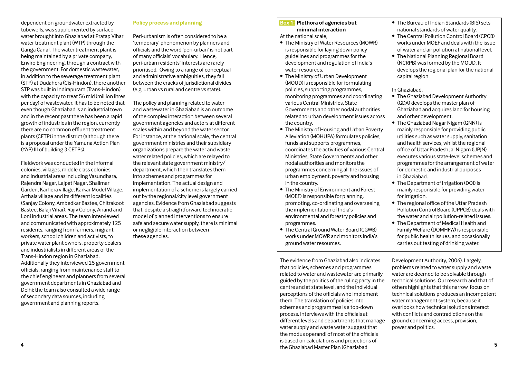dependent on groundwater extracted by tubewells, was supplemented by surface water brought into Ghaziabad at Pratap Vihar water treatment plant (WTP) through the Ganga Canal. The water treatment plant is being maintained by a private company, Enviro Engineering, through a contract with the government. For domestic wastewater, in addition to the sewerage treatment plant (STP) at Dudahera (Cis-Hindon), there another STP was built in Indirapuram (Trans-Hindon) with the capacity to treat 56 mld (million litres per day) of wastewater. It has to be noted that even though Ghaziabad is an industrial town and in the recent past there has been a rapid growth of industries in the region, currently there are no common effluent treatment plants (CETP) in the district (although there is a proposal under the Yamuna Action Plan (YAP) III of building 3 CETPs).

Fieldwork was conducted in the informal colonies, villages, middle class colonies and industrial areas including Vasundhara, Rajendra Nagar, Lajpat Nagar, Shalimar Garden, Karhera village, Karkar Model Village, Arthala village and its different localities (Sanjay Colony, Ambedkar Bastee, Chitrakoot Bastee, Balaji Vihar), Rajiv Colony, Anand and Loni industrial areas. The team interviewed and communicated with approximately 125 residents, ranging from farmers, migrant workers, school children and activists, to private water plant owners, property dealers and industrialists in different areas of the Trans-Hindon region in Ghaziabad. Additionally they interviewed 25 government officials, ranging from maintenance staff to the chief engineers and planners from several government departments in Ghaziabad and Delhi; the team also consulted a wide range of secondary data sources, including government and planning reports.

## **Policy process and planning**

Peri-urbanism is often considered to be a 'temporary' phenomenon by planners and officials and the word 'peri-urban' is not part of many officials' vocabulary. Hence, peri-urban residents' interests are rarely prioritised. Owing to a range of conceptual and administrative ambiguities, they fall between the cracks of jurisdictional divides (e.g. urban vs rural and centre vs state).

The policy and planning related to water and wastewater in Ghaziabad is an outcome of the complex interaction between several government agencies and actors at different scales within and beyond the water sector. For instance, at the national scale, the central government ministries and their subsidiary organizations prepare the water and waste water related policies, which are relayed to the relevant state government ministry/ department, which then translates them into schemes and programmes for implementation. The actual design and implementation of a scheme is largely carried out by the regional/city level government agencies. Evidence from Ghaziabad suggests that, despite a straightforward technocratic model of planned interventions to ensure safe and secure water supply, there is minimal or negligible interaction between these agencies.

## **Box 1: Plethora of agencies but minimal interaction**

At the national scale,

- The Ministry of Water Resources (MOWR) is responsible for laying down policy guidelines and programmes for the development and regulation of India's water resources.
- The Ministry of Urban Development (MOUD) is responsible for formulating policies, supporting programmes, monitoring programmes and coordinating various Central Ministries, State Governments and other nodal authorities related to urban development issues across the country.
- The Ministry of Housing and Urban Poverty Alleviation (MOHUPA) formulates policies, funds and supports programmes, coordinates the activities of various Central Ministries, State Governments and other nodal authorities and monitors the programmes concerning all the issues of urban employment, poverty and housing in the country.
- The Ministry of Environment and Forest (MOEF) is responsible for planning, promoting, co-ordinating and overseeing the implementation of India's environmental and forestry policies and programmes.
- The Central Ground Water Board (CGWB) works under MOWR and monitors India's ground water resources.

**4 5** the Ghaziabad Master Plan (Ghaziabad The evidence from Ghaziabad also indicates that policies, schemes and programmes related to water and wastewater are primarily guided by the politics of the ruling party in the centre and at state level, and the individual perceptions of the officials who implement them. The translation of policies into schemes and programmes is a top-down process. Interviews with the officials at different levels and departments that manage water supply and waste water suggest that the modus operandi of most of the officials is based on calculations and projections of

- The Bureau of Indian Standards (BIS) sets national standards of water quality.
- The Central Pollution Control Board (CPCB) works under MOEF and deals with the issue of water and air pollution at national level.
- The National Planning Regional Board (NCRPB) was formed by the MOUD. It develops the regional plan for the national capital region.

In Ghaziabad,

- The Ghaziabad Development Authority (GDA) develops the master plan of Ghaziabad and acquires land for housing and other development.
- The Ghaziabad Nagar Nigam (GNN) is mainly responsible for providing public utilities such as water supply, sanitation and health services, whilst the regional office of Uttar Pradesh Jal Nigam (UPJN) executes various state-level schemes and programmes for the arrangement of water for domestic and industrial purposes in Ghaziabad.
- The Department of Irrigation (DOI) is mainly responsible for providing water for irrigation.
- The regional office of the Uttar Pradesh Pollution Control Board (UPPCB) deals with the water and air pollution-related issues.
- The Department of Medical Health and Family Welfare (DOMHFW) is responsible for public health issues, and occasionally carries out testing of drinking water.

Development Authority, 2006). Largely, problems related to water supply and waste water are deemed to be solvable through technical solutions. Our research and that of others highlights that this narrow focus on technical solutions produces an incompetent water management system, because it overlooks how technical solutions interact with conflicts and contradictions on the ground concerning access, provision, power and politics.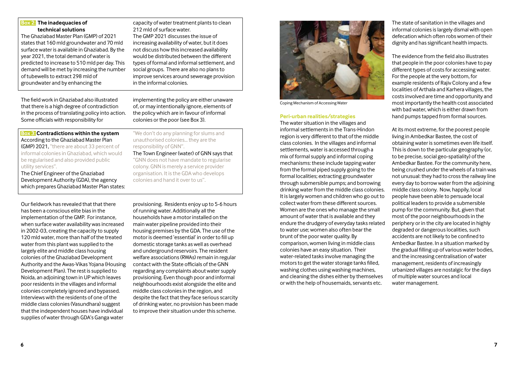The field work in Ghaziabad also illustrated that there is a high degree of contradiction in the process of translating policy into action. Some officials with responsibility for **Box 3: Contradictions within the system** be regularised and also provided public utility services". The Chief Engineer of the Ghaziabad Our fieldwork has revealed that that there has been a conscious elite bias in the

**Box 2: The inadequacies of technical solutions**

The Ghaziabad Master Plan (GMP) of 2021 states that 160 mld groundwater and 70 mld surface water is available in Ghaziabad. By the year 2021, the total demand of water is predicted to increase to 510 mld per day. This demand will be met by increasing the number of tubewells to extract 298 mld of groundwater and by enhancing the

capacity of water treatment plants to clean 212 mld of surface water. The GMP 2021 discusses the issue of increasing availability of water, but it does not discuss how this increased availability would be distributed between the different types of formal and informal settlement, and social groups. There are also no plans to improve services around sewerage provision in the informal colonies.

"We don't do any planning for slums and unauthorised colonies… they are the

The Town Engineer (water) of GNN says that "GNN does not have mandate to regularise colony. GNN is merely a service provider organisation. It is the GDA who develops colonies and hand it over to us".

responsibility of GNN".

implementing the policy are either unaware of, or may intentionally ignore, elements of the policy which are in favour of informal colonies or the poor (see Box 3).

According to the Ghaziabad Master Plan

(GMP) 2021, "there are about 33 percent of informal colonies in Ghaziabad, which would

Development Authority (GDA), the agency which prepares Ghaziabad Master Plan states:

implementation of the GMP. For instance, when surface water availability was increased in 2002-03, creating the capacity to supply 120 mld water, more than half of the treated water from this plant was supplied to the largely elite and middle class housing colonies of the Ghaziabad Development Authority and the Awas-Vikas Yojana (Housing Development Plan). The rest is supplied to Noida, an adjoining town in UP which leaves poor residents in the villages and informal colonies completely ignored and bypassed. Interviews with the residents of one of the middle class colonies (Vasundhara) suggest that the independent houses have individual supplies of water through GDA's Ganga water

provisioning. Residents enjoy up to 5-6 hours of running water. Additionally all the households have a motor installed on the main water pipeline provided into their housing premises by the GDA. The use of the motor is deemed 'essential' in order to fill up domestic storage tanks as well as overhead and underground reservoirs. The resident welfare associations (RWAs) remain in regular contact with the State officials of the GNN regarding any complaints about water supply provisioning. Even though poor and informal neighbourhoods exist alongside the elite and middle class colonies in the region, and despite the fact that they face serious scarcity of drinking water, no provision has been made to improve their situation under this scheme.

Coping Mechanism of Accessing Water

#### **Peri-urban realities/strategies**

The water situation in the villages and informal settlements in the Trans-Hindon region is very different to that of the middle class colonies. In the villages and informal settlements, water is accessed through a mix of formal supply and informal coping mechanisms: these include tapping water from the formal piped supply going to the formal localities; extracting groundwater through submersible pumps; and borrowing drinking water from the middle class colonies. It is largely women and children who go out to collect water from these different sources. Women are the ones who manage the small amount of water that is available and they endure the drudgery of everyday tasks related to water use; women also often bear the brunt of the poor water quality. By comparison, women living in middle class colonies have an easy situation. Their water-related tasks involve managing the motors to get the water storage tanks filled, washing clothes using washing machines, and cleaning the dishes either by themselves or with the help of housemaids, servants etc.

The state of sanitation in the villages and informal colonies is largely dismal with open defecation which often robs women of their dignity and has significant health impacts.

The evidence from the field also illustrates that people in the poor colonies have to pay different types of costs for accessing water. For the people at the very bottom, for example residents of Rajiv Colony and a few localities of Arthala and Karhera villages, the costs involved are time and opportunity and most importantly the health cost associated with bad water, which is either drawn from hand pumps tapped from formal sources.

At its most extreme, for the poorest people living in Ambedkar Bastee, the cost of obtaining water is sometimes even life itself. This is down to the particular geography (or, to be precise, social geo-spatiality) of the Ambedkar Bastee. For the community here, being crushed under the wheels of a train was not unusual: they had to cross the railway line every day to borrow water from the adjoining middle class colony. Now, happily, local people have been able to persuade local political leaders to provide a submersible pump for the community. But, given that most of the poor neighbourhoods in the periphery or in the city are located in highly degraded or dangerous localities, such accidents are not likely to be confined to Ambedkar Bastee. In a situation marked by the gradual filling up of various water bodies, and the increasing centralisation of water management, residents of increasingly urbanized villages are nostalgic for the days of multiple water sources and local water management.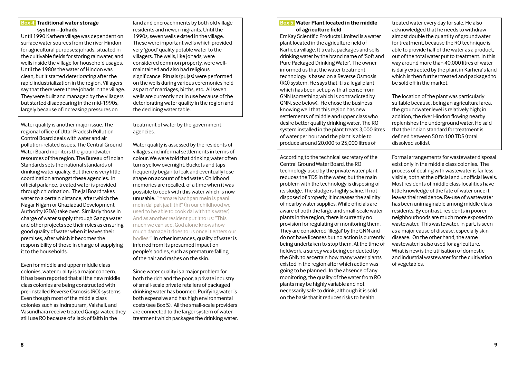## **Box 4: Traditional water storage system – Johads**

Until 1990 Karhera village was dependent on surface water sources from the river Hindon for agricultural purposes: johads, situated in the cultivable fields for storing rainwater, and wells inside the village for household usages. Until the 1980s the water of Hindon was clean, but it started deteriorating after the rapid industrialization in the region. Villagers say that there were three johads in the village. They were built and managed by the villagers but started disappearing in the mid-1990s, largely because of increasing pressures on

Water quality is another major issue. The regional office of Uttar Pradesh Pollution Control Board deals with water and air pollution-related issues. The Central Ground Water Board monitors the groundwater resources of the region. The Bureau of Indian Standards sets the national standards of drinking water quality. But there is very little coordination amongst these agencies. In official parlance, treated water is provided through chlorination. The Jal Board takes water to a certain distance, after which the Nagar Nigam or Ghaziabad Development Authority (GDA) take over. Similarly those in charge of water supply through Ganga water and other projects see their roles as ensuring good quality of water when it leaves their premises, after which it becomes the responsibility of those in charge of supplying it to the households.

Even for middle and upper middle class colonies, water quality is a major concern. It has been reported that all the new middle class colonies are being constructed with pre-installed Reverse Osmosis (RO) systems. Even though most of the middle class colonies such as Indrapuram, Vaishali, and Vasundhara receive treated Ganga water, they still use RO because of a lack of faith in the

land and encroachments by both old village residents and newer migrants. Until the 1990s, seven wells existed in the village. These were important wells which provided very 'good' quality potable water to the villagers. The wells, like johads, were considered common property, were wellmaintained and also had religious significance. Rituals (pujas) were performed on the wells during various ceremonies held as part of marriages, births, etc. All seven wells are currently not in use because of the deteriorating water quality in the region and the declining water table.

treatment of water by the government agencies.

Water quality is assessed by the residents of villages and informal settlements in terms of colour. We were told that drinking water often turns yellow overnight. Buckets and taps frequently began to leak and eventually lose shape on account of bad water. Childhood memories are recalled, of a time when it was possible to cook with this water which is now unusable. "hamare bachpan mein is paani mein dal pak jaati thi!" (In our childhood we used to be able to cook dal with this water) And as another resident put it to us: "This much we can see. God alone knows how much damage it does to us once it enters our bodies." In other instances, quality of water is inferred from its presumed impact on people's bodies, such as premature falling of the hair and rashes on the skin.

Since water quality is a major problem for both the rich and the poor, a private industry of small-scale private retailers of packaged drinking water has boomed. Purifying water is both expensive and has high environmental costs (see Box 5). All the small-scale providers are connected to the larger system of water treatment which packages the drinking water.

#### **Box 5: Water Plant located in the middle of agriculture field**

EmKay Scientific Products Limited is a water plant located in the agriculture field of Karheda village. It treats, packages and sells drinking water by the brand name of 'Soft and Pure Packaged Drinking Water'. The owner informed us that the water treatment technology is based on a Reverse Osmosis (RO) system. He says that it is a legal plant which has been set up with a license from GNN (something which is contradicted by GNN, see below). He chose the business knowing well that this region has new settlements of middle and upper class who desire better quality drinking water. The RO system installed in the plant treats 3,000 litres of water per hour and the plant is able to produce around 20,000 to 25,000 litres of

According to the technical secretary of the Central Ground Water Board, the RO technology used by the private water plant reduces the TDS in the water, but the main problem with the technology is disposing of its sludge. The sludge is highly saline. If not disposed of properly, it increases the salinity of nearby water supplies. While officials are aware of both the large and small-scale water plants in the region, there is currently no provision for regulating or monitoring them. They are considered 'illegal' by the GNN and do not have licenses but no action is currently being undertaken to stop them. At the time of fieldwork, a survey was being conducted by the GNN to ascertain how many water plants existed in the region after which action was going to be planned. In the absence of any monitoring, the quality of the water from RO plants may be highly variable and not necessarily safe to drink, although it is sold on the basis that it reduces risks to health.

treated water every day for sale. He also acknowledged that he needs to withdraw almost double the quantity of groundwater for treatment, because the RO technique is able to provide half of the water as a product, out of the total water put to treatment. In this way around more than 40,000 litres of water is daily extracted by the plant in Karhera's land which is then further treated and packaged to be sold off in the market.

The location of the plant was particularly suitable because, being an agricultural area, the groundwater level is relatively high; in addition, the river Hindon flowing nearby replenishes the underground water. He said that the Indian standard for treatment is defined between 50 to 100 TDS (total dissolved solids).

Formal arrangements for wastewater disposal exist only in the middle class colonies. The process of dealing with wastewater is far less visible, both at the official and unofficial levels. Most residents of middle class localities have little knowledge of the fate of water once it leaves their residence. Re-use of wastewater has been unimaginable among middle class residents. By contrast, residents in poorer neighbourhoods are much more exposed to wastewater. This wastewater, in part, is seen as a major cause of disease, especially skin disease. On the other hand, the same wastewater is also used for agriculture. What is new is the utilisation of domestic and industrial wastewater for the cultivation of vegetables.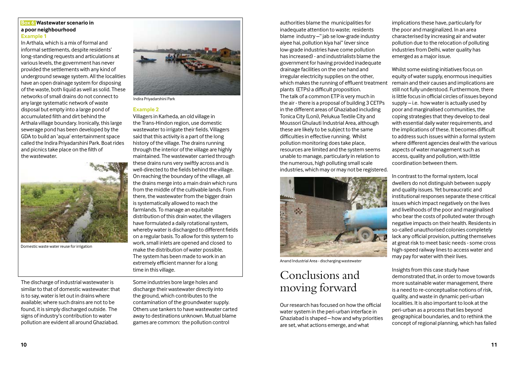#### **Box 6: Wastewater scenario in a poor neighbourhood Example 1**

In Arthala, which is a mix of formal and informal settlements, despite residents' long-standing requests and articulations at various levels, the government has never provided the settlements with any kind of underground sewage system. All the localities have an open drainage system for disposing of the waste, both liquid as well as solid. These networks of small drains do not connect to any large systematic network of waste disposal but empty into a large pond of accumulated filth and dirt behind the Arthala village boundary. Ironically, this large sewerage pond has been developed by the GDA to build an 'aqua' entertainment space called the Indira Priyadarshini Park. Boat rides and picnics take place on the filth of the wastewater.



Domestic waste water reuse for irrigation

The discharge of industrial wastewater is similar to that of domestic wastewater: that is to say, water is let out in drains where available; where such drains are not to be found, it is simply discharged outside. The signs of industry's contribution to water pollution are evident all around Ghaziabad.



Indira Priyadarshini Park

#### **Example 2**

Villagers in Karheda, an old village in the Trans-Hindon region, use domestic wastewater to irrigate their fields. Villagers said that this activity is a part of the long history of the village. The drains running through the interior of the village are highly maintained. The wastewater carried through these drains runs very swiftly across and is well-directed to the fields behind the village. On reaching the boundary of the village, all the drains merge into a main drain which runs from the middle of the cultivable lands. From there, the wastewater from the bigger drain is systematically allowed to reach the farmlands. To manage an equitable distribution of this drain water, the villagers have formulated a daily rotational system, whereby water is discharged to different fields on a regular basis. To allow for this system to work, small inlets are opened and closed to make the distribution of water possible. The system has been made to work in an extremely efficient manner for a long time in this village.

Some industries bore large holes and discharge their wastewater directly into the ground, which contributes to the contamination of the groundwater supply. Others use tankers to have wastewater carted away to destinations unknown. Mutual blame games are common: the pollution control

authorities blame the municipalities for inadequate attention to waste; residents blame industry –" jab se low-grade industry aiyee hai, pollution kiya hai" (ever since low-grade industries have come pollution has increased) - and industrialists blame the government for having provided inadequate drainage facilities on the one hand and irregular electricity supplies on the other, which makes the running of effluent treatment plants (ETPs) a difficult proposition. The talk of a common ETP is very much in the air - there is a proposal of building 3 CETPs in the different areas of Ghaziabad including Tonica City (Loni), Pelukua Textile City and Moussori Ghulauti Industrial Area, although these are likely to be subject to the same difficulties in effective running. Whilst pollution monitoring does take place, resources are limited and the system seems unable to manage, particularly in relation to the numerous, high polluting small scale industries, which may or may not be registered.



Anand Industrial Area - discharging wastewater

# Conclusions and moving forward

Our research has focused on how the official water system in the peri-urban interface in Ghaziabad is shaped – how and why priorities are set, what actions emerge, and what

implications these have, particularly for the poor and marginalized. In an area characterised by increasing air and water pollution due to the relocation of polluting industries from Delhi, water quality has emerged as a major issue.

Whilst some existing initiatives focus on equity of water supply, enormous inequities remain and their causes and implications are still not fully understood. Furthermore, there is little focus in official circles of issues beyond supply – i.e. how water is actually used by poor and marginalised communities, the coping strategies that they develop to deal with essential daily water requirements, and the implications of these. It becomes difficult to address such issues within a formal system where different agencies deal with the various aspects of water management such as access, quality and pollution, with little coordination between them.

In contrast to the formal system, local dwellers do not distinguish between supply and quality issues. Yet bureaucratic and institutional responses separate these critical issues which impact negatively on the lives and livelihoods of the poor and marginalised who bear the costs of polluted water through negative impacts on their health. Residents in so-called unauthorised colonies completely lack any official provision, putting themselves at great risk to meet basic needs - some cross high-speed railway lines to access water and may pay for water with their lives.

Insights from this case study have demonstrated that, in order to move towards more sustainable water management, there is a need to re-conceptualise notions of risk, quality, and waste in dynamic peri-urban localities. It is also important to look at the peri-urban as a process that lies beyond geographical boundaries, and to rethink the concept of regional planning, which has failed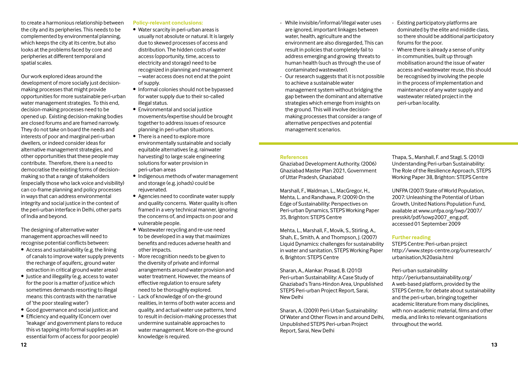to create a harmonious relationship between the city and its peripheries. This needs to be complemented by environmental planning, which keeps the city at its centre, but also looks at the problems faced by core and peripheries at different temporal and spatial scales.

Our work explored ideas around the development of more socially just decisionmaking processes that might provide opportunities for more sustainable peri-urban water management strategies. To this end, decision-making processes need to be opened up. Existing decision-making bodies are closed forums and are framed narrowly. They do not take on board the needs and interests of poor and marginal peri-urban dwellers, or indeed consider ideas for alternative management strategies, and other opportunities that these people may contribute. Therefore, there is a need to democratise the existing forms of decisionmaking so that a range of stakeholders (especially those who lack voice and visibility) can co-frame planning and policy processes in ways that can address environmental integrity and social justice in the context of the peri-urban interface in Delhi, other parts of India and beyond.

The designing of alternative water management approaches will need to recognise potential conflicts between:

- Access and sustainability (e.g. the lining of canals to improve water supply prevents the recharge of aquifers;, ground water extraction in critical ground water areas)
- Justice and illegality (e.g. access to water for the poor is a matter of justice which sometimes demands resorting to illegal means: this contrasts with the narrative of 'the poor stealing water')
- Good governance and social justice; and
- Efficiency and equality (Concern over 'leakage' and government plans to reduce this vs tapping into formal supplies as an essential form of access for poor people)

# **Policy-relevant conclusions:**

- Water scarcity in peri-urban areas is
- usually not absolute or natural. It is largely due to skewed processes of access and distribution. The hidden costs of water access (opportunity, time, access to electricity and storage) need to be recognized in planning and management – water access does not end at the point of supply.
- Informal colonies should not be bypassed for water supply due to their so-called illegal status.
- Environmental and social justice movements/expertise should be brought together to address issues of resource planning in peri-urban situations.
- There is a need to explore more environmentally sustainable and socially equitable alternatives (e.g. rainwater harvesting) to large scale engineering solutions for water provision in peri-urban areas
- Indigenous methods of water management and storage (e.g. johads) could be rejuvenated.
- Agencies need to coordinate water supply and quality concerns. Water quality is often framed in a very technical manner, ignoring the concerns of, and impacts on poor and vulnerable people.
- Wastewater recycling and re-use need to be developed in a way that maximizes benefits and reduces adverse health and other impacts.
- More recognition needs to be given to the diversity of private and informal arrangements around water provision and water treatment. However, the means of effective regulation to ensure safety need to be thoroughly explored.
- Lack of knowledge of on-the-ground realities, in terms of both water access and quality, and actual water use patterns, tend to result in decision-making processes that undermine sustainable approaches to water management. More on-the-ground knowledge is required.
- While invisible/informal/illegal water uses are ignored, important linkages between water, health, agriculture and the environment are also disregarded, This can result in policies that completely fail to address emerging and growing threats to human health (such as through the use of contaminated wastewater).
- Our research suggests that it is not possible to achieve a sustainable water management system without bridging the gap between the dominant and alternative strategies which emerge from insights on the ground. This will involve decisionmaking processes that consider a range of alternative perspectives and potential management scenarios.
- Existing participatory platforms are dominated by the elite and middle class, so there should be additional participatory forums for the poor.
- Where there is already a sense of unity in communities, built up through mobilisation around the issue of water access and wastewater reuse, this should be recognised by involving the people in the process of implementation and maintenance of any water supply and wastewater related project in the peri-urban locality.

#### **References**

Ghaziabad Development Authority. (2006) Ghaziabad Master Plan 2021, Government of Uttar Pradesh, Ghaziabad

Marshall, F., Waldman, L., MacGregor, H., Mehta, L. and Randhawa, P. (2009) On the Edge of Sustainability: Perspectives on Peri-urban Dynamics, STEPS Working Paper 35, Brighton: STEPS Centre

Mehta, L., Marshall, F., Movik, S., Stirling, A., Shah, E., Smith, A. and Thompson, J. (2007) Liquid Dynamics: challenges for sustainability in water and sanitation, STEPS Working Paper 6, Brighton: STEPS Centre

Sharan, A., Alankar. Prasad, B. (2010) Peri-urban Sustainability: A Case Study of Ghaziabad's Trans-Hindon Area, Unpublished STEPS Peri-urban Project Report, Sarai, New Delhi

Sharan, A. (2009) Peri-Urban Sustainability: Of Water and Other Flows in and around Delhi, Unpublished STEPS Peri-urban Project Report, Sarai, New Delhi

Thapa, S., Marshall, F. and Stagl, S. (2010) Understanding Peri-urban Sustainability: The Role of the Resilience Approach, STEPS Working Paper 38, Brighton: STEPS Centre

UNFPA (2007) State of World Population, 2007: Unleashing the Potential of Urban Growth, United Nations Population Fund, available at www.unfpa.org/swp/2007/ presskit/pdf/sowp2007\_eng.pdf, accessed 01 September 2009

# **Further reading**

STEPS Centre: Peri-urban project http://www.steps-centre.org/ourresearch/ urbanisation,%20asia.html

Peri-urban sustainability http://periurbansustainability.org/ A web-based platform, provided by the STEPS Centre, for debate about sustainability and the peri-urban, bringing together academic literature from many disciplines, with non-academic material, films and other media, and links to relevant organisations throughout the world.